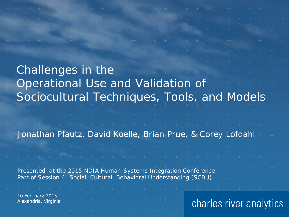| $\circ$ $\qquad$ $\circ$ $\qquad$ $\circ$ $\qquad$ $\circ$ $\qquad$ $\circ$ $\qquad$ $\circ$ $\qquad$ $\circ$ $\qquad$ $\circ$ $\qquad$ $\circ$ $\qquad$ $\qquad$ $\circ$ $\qquad$ $\qquad$ $\qquad$ $\circ$ $\qquad$ $\qquad$ $\qquad$ $\circ$ $\qquad$ $\qquad$ $\qquad$ $\qquad$ $\circ$ $\qquad$ $\qquad$ $\qquad$ $\qquad$ $\qquad$ $\qquad$ |  |                                                                                                                |  |  |  |  |  |  |  |                                                                                                                      |  |  |  |
|---------------------------------------------------------------------------------------------------------------------------------------------------------------------------------------------------------------------------------------------------------------------------------------------------------------------------------------------------|--|----------------------------------------------------------------------------------------------------------------|--|--|--|--|--|--|--|----------------------------------------------------------------------------------------------------------------------|--|--|--|
|                                                                                                                                                                                                                                                                                                                                                   |  |                                                                                                                |  |  |  |  |  |  |  |                                                                                                                      |  |  |  |
|                                                                                                                                                                                                                                                                                                                                                   |  |                                                                                                                |  |  |  |  |  |  |  |                                                                                                                      |  |  |  |
| Challenges in the                                                                                                                                                                                                                                                                                                                                 |  |                                                                                                                |  |  |  |  |  |  |  |                                                                                                                      |  |  |  |
| Operational Use and Validation of<br>$\circ$ $\circ$ $\circ$ $\circ$ $\circ$ $\circ$ $\circ$                                                                                                                                                                                                                                                      |  |                                                                                                                |  |  |  |  |  |  |  |                                                                                                                      |  |  |  |
|                                                                                                                                                                                                                                                                                                                                                   |  |                                                                                                                |  |  |  |  |  |  |  |                                                                                                                      |  |  |  |
| Sociocultural Techniques, Tools, and Models                                                                                                                                                                                                                                                                                                       |  |                                                                                                                |  |  |  |  |  |  |  |                                                                                                                      |  |  |  |
|                                                                                                                                                                                                                                                                                                                                                   |  |                                                                                                                |  |  |  |  |  |  |  |                                                                                                                      |  |  |  |
|                                                                                                                                                                                                                                                                                                                                                   |  |                                                                                                                |  |  |  |  |  |  |  |                                                                                                                      |  |  |  |
| Jonathan Pfautz, David Koelle, Brian Prue, & Corey Lofdahl +                                                                                                                                                                                                                                                                                      |  |                                                                                                                |  |  |  |  |  |  |  |                                                                                                                      |  |  |  |
|                                                                                                                                                                                                                                                                                                                                                   |  |                                                                                                                |  |  |  |  |  |  |  |                                                                                                                      |  |  |  |
|                                                                                                                                                                                                                                                                                                                                                   |  |                                                                                                                |  |  |  |  |  |  |  |                                                                                                                      |  |  |  |
|                                                                                                                                                                                                                                                                                                                                                   |  |                                                                                                                |  |  |  |  |  |  |  |                                                                                                                      |  |  |  |
| Presented at the 2015 NDIA Human-Systems Integration Conference<br>Part of Session 4: Social, Cultural, Behavioral Understanding (SCBU)                                                                                                                                                                                                           |  |                                                                                                                |  |  |  |  |  |  |  | $\begin{array}{ccccccccccccc} \bullet & & & \bullet & & & \bullet & & & \bullet & & \bullet & & \bullet \end{array}$ |  |  |  |
|                                                                                                                                                                                                                                                                                                                                                   |  | in a state of the state of the state of the state of the state of the state of the state of the state of the s |  |  |  |  |  |  |  |                                                                                                                      |  |  |  |
|                                                                                                                                                                                                                                                                                                                                                   |  |                                                                                                                |  |  |  |  |  |  |  |                                                                                                                      |  |  |  |

10 February 2015 Alexandria, Virginia

## charles river analytics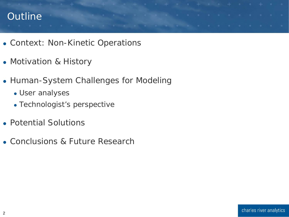#### Outline and the company of the company of the company of the company of the company of the company of the company of the company of the company of the company of the company of the company of the company of the company of

- Context: Non-Kinetic Operations
- Motivation & History
- Human-System Challenges for Modeling
	- User analyses
	- Technologist's perspective
- Potential Solutions
- Conclusions & Future Research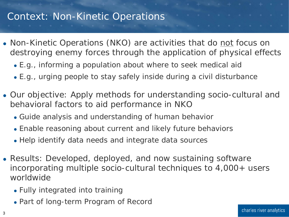# Context: Non-Kinetic Operations

- Non-Kinetic Operations (NKO) are activities that do not focus on destroying enemy forces through the application of physical effects
	- E.g., informing a population about where to seek medical aid
	- E.g., urging people to stay safely inside during a civil disturbance
- Our objective: Apply methods for understanding socio-cultural and behavioral factors to aid performance in NKO
	- Guide analysis and understanding of human behavior
	- Enable reasoning about current and likely future behaviors
	- Help identify data needs and integrate data sources
- Results: Developed, deployed, and now sustaining software incorporating multiple socio-cultural techniques to 4,000+ users worldwide
	- Fully integrated into training
	- Part of long-term Program of Record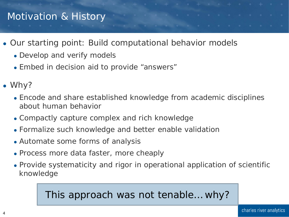## Motivation & History and the series of the series of the series of the series of the series of the series of the

- Our starting point: Build computational behavior models
	- Develop and verify models
	- Embed in decision aid to provide "answers"
- Why?
	- Encode and share established knowledge from academic disciplines about human behavior
	- Compactly capture complex and rich knowledge
	- Formalize such knowledge and better enable validation
	- Automate some forms of analysis
	- Process more data faster, more cheaply
	- Provide systematicity and rigor in operational application of scientific knowledge

#### This approach was not tenable… why?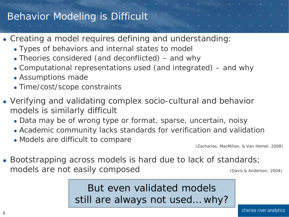#### Behavior Modeling is Difficult

- Creating a model requires defining and understanding:
	- Types of behaviors and internal states to model
	- Theories considered (and deconflicted) and why
	- Computational representations used (and integrated) and why
	- Assumptions made
	- Time/cost/scope constraints
- Verifying and validating complex socio-cultural and behavior models is similarly difficult
	- Data may be of wrong type or format, sparse, uncertain, noisy
	- Academic community lacks standards for verification and validation
	- Models are difficult to compare

(Zacharias, MacMillan, & Van Hemel, 2008)

• Bootstrapping across models is hard due to lack of standards; models are not easily composed (Davis & Anderson, 2004)

> But even validated models still are always not used… why?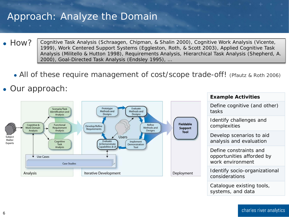#### Approach: Analyze the Domain

- How? Cognitive Task Analysis (Schraagen, Chipman, & Shalin 2000), Cognitive Work Analysis (Vicente, 1999), Work Centered Support Systems (Eggleston, Roth, & Scott 2003), Applied Cognitive Task Analysis (Militello & Hutton 1998), Requirements Analysis, Hierarchical Task Analysis (Shepherd, A. 2000), Goal-Directed Task Analysis (Endsley 1995), …
	- All of these require management of cost/scope trade-off! (Pfautz & Roth 2006)

#### • Our approach:



Catalogue existing tools, systems, and data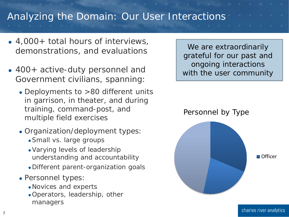#### Analyzing the Domain: Our User Interactions

- 4,000+ total hours of interviews, demonstrations, and evaluations
- 400+ active-duty personnel and Government civilians, spanning:
	- Deployments to >80 different units in garrison, in theater, and during training, command-post, and multiple field exercises
	- Organization/deployment types:
		- Small vs. large groups
		- Varying levels of leadership understanding and accountability
		- Different parent-organization goals
	- Personnel types:
		- Novices and experts
		- Operators, leadership, other managers

We are extraordinarily grateful for our past and ongoing interactions with the user community

Personnel by Type



■ Officer

7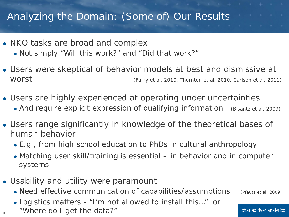#### Analyzing the Domain: (Some of) Our Results

- NKO tasks are broad and complex
	- Not simply "Will this work?" and "Did that work?"
- Users were skeptical of behavior models at best and dismissive at WOTSU EXAMPLE (Farry et al. 2010, Thornton et al. 2010, Carlson et al. 2011)
- Users are highly experienced at operating under uncertainties
	- And require explicit expression of qualifying information (Bisantz et al. 2009)
- Users range significantly in knowledge of the theoretical bases of human behavior
	- E.g., from high school education to PhDs in cultural anthropology
	- Matching user skill/training is essential in behavior *and* in computer systems
- Usability and utility were paramount
	- Need effective communication of capabilities/assumptions (Pfautz et al. 2009)
	- Logistics matters "I'm not allowed to install this…" or
	- "Where do I get the data?"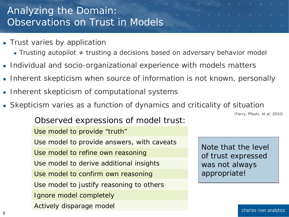## Analyzing the Domain: Observations on Trust in Models

- Trust varies by application
	- Trusting autopilot ≠ trusting a decisions based on adversary behavior model
- Individual and socio-organizational experience with models matters
- Inherent skepticism when source of information is not known, personally
- Inherent skepticism of computational systems
- Skepticism varies as a function of dynamics and criticality of situation

(Farry, Pfautz, et al. 2010)

Use model to provide "truth" Use model to provide answers, with caveats Use model to refine own reasoning Use model to derive additional insights Use model to confirm own reasoning Use model to justify reasoning to others Ignore model completely Actively disparage model

Observed expressions of model trust:

Note that the level of trust expressed was not always appropriate!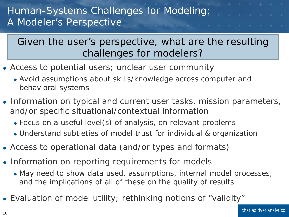#### Human-Systems Challenges for Modeling: A Modeler's Perspective

#### Given the user's perspective, what are the resulting challenges for modelers?

- Access to potential users; unclear user community
	- Avoid assumptions about skills/knowledge across computer and behavioral systems
- Information on typical and current user tasks, mission parameters, and/or specific situational/contextual information
	- Focus on a useful level(s) of analysis, on relevant problems
	- Understand subtleties of model trust for individual & organization
- Access to operational data (and/or types and formats)
- Information on reporting requirements for models
	- May need to show data used, assumptions, internal model processes, and the implications of all of these on the quality of results
- Evaluation of model utility; rethinking notions of "validity"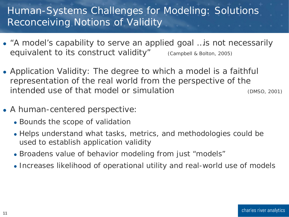## Human-Systems Challenges for Modeling: Solutions Reconceiving Notions of Validity

- "A model's capability to serve an applied goal …is not necessarily equivalent to its construct validity" (Campbell & Bolton, 2005)
- *Application Validity:* The degree to which a model is a faithful representation of the real world from the perspective of the intended use of that model or simulation (DMSO, 2001)
- A human-centered perspective:
	- Bounds the scope of validation
	- Helps understand what tasks, metrics, and methodologies could be used to establish application validity
	- Broadens value of behavior modeling from just "models"
	- Increases likelihood of operational utility and real-world use of models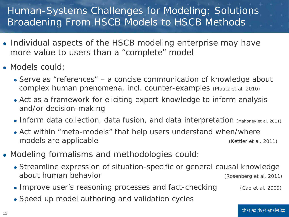## Human-Systems Challenges for Modeling: Solutions Broadening From HSCB *Models* to HSCB *Methods*

- Individual aspects of the HSCB modeling enterprise may have more value to users than a "complete" model
- Models could:
	- Serve as "references" a concise communication of knowledge about complex human phenomena, incl. counter-examples (Pfautz et al. 2010)
	- Act as a framework for eliciting expert knowledge to inform analysis and/or decision-making
	- Inform data collection, data fusion, and data interpretation (Mahoney et al. 2011)
	- Act within "meta-models" that help users understand when/where models are applicable (Kettler et al. 2011)
- Modeling formalisms and methodologies could:
	- Streamline expression of situation-specific or general causal knowledge about human behavior and the state of the state (Rosenberg et al. 2011)
	- Improve user's reasoning processes and fact-checking (Cao et al. 2009)
	- Speed up model authoring and validation cycles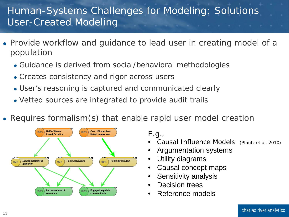## Human-Systems Challenges for Modeling: Solutions User-Created Modeling

- Provide workflow and guidance to lead user in creating model of a population
	- Guidance is derived from social/behavioral methodologies
	- Creates consistency and rigor across users
	- User's reasoning is captured and communicated clearly
	- Vetted sources are integrated to provide audit trails
- Requires formalism(s) that enable rapid user model creation



E.g.,

- Causal Influence Models (Pfautz et al. 2010)
- Argumentation systems
- Utility diagrams
- Causal concept maps
- Sensitivity analysis
- Decision trees
- Reference models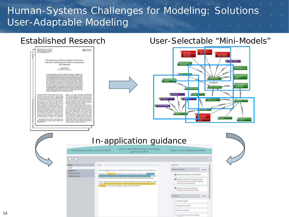## Human-Systems Challenges for Modeling: Solutions User-Adaptable Modeling

|                                                                                                                                                                                                                                                                                                                                                                                                                                                                                                                                                                                                                                                                                                                                                                                                                                                                                                                                                                                                                                                                                               | <b>Established Research</b>                                                                                                                                                                                                                                                                                                                                                                                                                                                                                                                                                                                                                                                                                                                                                                                                                                                                                                                                                                                                                                                                                                                                                                                                                                                                                                                                                                                                                                                                                                                                                                                 |        |                                                                                                                                                                                                                                                                   |  |                                                                                                             |                                                                                                     | User-Selectable "Mini-Models" |  |  |  |
|-----------------------------------------------------------------------------------------------------------------------------------------------------------------------------------------------------------------------------------------------------------------------------------------------------------------------------------------------------------------------------------------------------------------------------------------------------------------------------------------------------------------------------------------------------------------------------------------------------------------------------------------------------------------------------------------------------------------------------------------------------------------------------------------------------------------------------------------------------------------------------------------------------------------------------------------------------------------------------------------------------------------------------------------------------------------------------------------------|-------------------------------------------------------------------------------------------------------------------------------------------------------------------------------------------------------------------------------------------------------------------------------------------------------------------------------------------------------------------------------------------------------------------------------------------------------------------------------------------------------------------------------------------------------------------------------------------------------------------------------------------------------------------------------------------------------------------------------------------------------------------------------------------------------------------------------------------------------------------------------------------------------------------------------------------------------------------------------------------------------------------------------------------------------------------------------------------------------------------------------------------------------------------------------------------------------------------------------------------------------------------------------------------------------------------------------------------------------------------------------------------------------------------------------------------------------------------------------------------------------------------------------------------------------------------------------------------------------------|--------|-------------------------------------------------------------------------------------------------------------------------------------------------------------------------------------------------------------------------------------------------------------------|--|-------------------------------------------------------------------------------------------------------------|-----------------------------------------------------------------------------------------------------|-------------------------------|--|--|--|
| <b>Realt Communication 34:176-185, 308</b><br>Capenghi o Teyler A Francis Goog ELC<br>2005: 1041-0206 ppgs / 1532-7027 militar<br>DOL: 30:3050 to4pgsanameners<br>On entering the field of health communication and educa-<br>ton from the academic study of shetonic, I quarkly stambled<br>tom from the acchemic resty of the<br>twist, $\hat{z}$ quality translated interaction and the state<br>$\hat{z}$ quality applies the state of the state of the<br>state state of the state of the state of the state of the state of the<br>s<br>mer be that health unfo<br>that health information circulates to widely but to-<br>scally, that it blends into the scenery. For many pub-<br>supersonates, that it transit must be commy two many puts<br>and the holds target and<br>must and discuss and enhancement to change risky behaviours and discuss<br>a and enhancement of the party behavior behavior of the same analy<br><br>Correspondence should be addressed to Joseph Denngto, Guitel<br>Neith Communices, 411 Chiev Dr., Atlanta, GA 30302 E-soal<br>indúcation.<br>Inns ace | R Routledge<br>The Importance of Being Authentic: Persuasion.<br>Narration, and Dialogue in Health Communication<br>and Education<br>Joseph Petraglia<br><b>Global Health Com</b><br>A trye ground streams in the field of relation has been that of "retheaticity"--the<br>A the gradient state of the field of the<br>state in the back of consideration of the state of the state<br>$\sim$ 10 $\mu$ m and the state of the state<br>of the state of the state of the state of the state of the state<br>of the state<br>mannery, it is in danger of becoming most (Whitehoad, 1929)-directions in assumely with lattic connection to application. What this information links is what some in educa-<br>atation. What this suffermation that<br>is in what we may not accurate the same state of $\sim$<br>and some continue of the state contribution of the background and to the free<br>contribution and the first contribution of the back<br>net, une conservat educational reference and debates for most of<br>the last century (Petroglas, 1992). As a construct where definite term<br>and meantly (Petroglas, 1992). As a construct where definite an<br>example conservated (D<br>the merry literature on "rathentic learning" slops over into<br>a number of topics more commonly considered in the health<br>tion lineature (e.g., nacretive, persuasion, dia-<br>these topics are examined in rodation from one<br>$\log m$ , but these topics are examined in molation from one another and almost enclusively from the vantage point of clinical and means, such<br>as public, health. |        | In-application guidance                                                                                                                                                                                                                                           |  |                                                                                                             | Kairos<br>Decreases<br><b>Authenticity</b><br>Contributes to<br>Contractor &<br>ы<br>Contributes to |                               |  |  |  |
|                                                                                                                                                                                                                                                                                                                                                                                                                                                                                                                                                                                                                                                                                                                                                                                                                                                                                                                                                                                                                                                                                               | Inform TA about positive results of US efforts                                                                                                                                                                                                                                                                                                                                                                                                                                                                                                                                                                                                                                                                                                                                                                                                                                                                                                                                                                                                                                                                                                                                                                                                                                                                                                                                                                                                                                                                                                                                                              |        | Inform TA about the level to which the Filipinos<br>appreciate US efforts                                                                                                                                                                                         |  | Provide TA with registration information                                                                    |                                                                                                     |                               |  |  |  |
|                                                                                                                                                                                                                                                                                                                                                                                                                                                                                                                                                                                                                                                                                                                                                                                                                                                                                                                                                                                                                                                                                               | VD0001                                                                                                                                                                                                                                                                                                                                                                                                                                                                                                                                                                                                                                                                                                                                                                                                                                                                                                                                                                                                                                                                                                                                                                                                                                                                                                                                                                                                                                                                                                                                                                                                      |        |                                                                                                                                                                                                                                                                   |  |                                                                                                             | $\mathbf{x}$                                                                                        |                               |  |  |  |
|                                                                                                                                                                                                                                                                                                                                                                                                                                                                                                                                                                                                                                                                                                                                                                                                                                                                                                                                                                                                                                                                                               | Details                                                                                                                                                                                                                                                                                                                                                                                                                                                                                                                                                                                                                                                                                                                                                                                                                                                                                                                                                                                                                                                                                                                                                                                                                                                                                                                                                                                                                                                                                                                                                                                                     | Script |                                                                                                                                                                                                                                                                   |  | <b>Suggestions</b>                                                                                          |                                                                                                     |                               |  |  |  |
|                                                                                                                                                                                                                                                                                                                                                                                                                                                                                                                                                                                                                                                                                                                                                                                                                                                                                                                                                                                                                                                                                               | Script<br>Suggestions                                                                                                                                                                                                                                                                                                                                                                                                                                                                                                                                                                                                                                                                                                                                                                                                                                                                                                                                                                                                                                                                                                                                                                                                                                                                                                                                                                                                                                                                                                                                                                                       |        | Open on Mirasol, an 8 year-old Filipino girl. Emotional music plays in the background.                                                                                                                                                                            |  | Narrative Guidance                                                                                          | Expand                                                                                              |                               |  |  |  |
|                                                                                                                                                                                                                                                                                                                                                                                                                                                                                                                                                                                                                                                                                                                                                                                                                                                                                                                                                                                                                                                                                               | Pretest Guidance<br>Posttest Guidance                                                                                                                                                                                                                                                                                                                                                                                                                                                                                                                                                                                                                                                                                                                                                                                                                                                                                                                                                                                                                                                                                                                                                                                                                                                                                                                                                                                                                                                                                                                                                                       |        | Voiceover: "Like all of us, Marisol did not choose where she was born. She did not<br>choose for her father to lose his job when his company moved to a safer city. She did                                                                                       |  | Readers empathize with characters.                                                                          |                                                                                                     |                               |  |  |  |
|                                                                                                                                                                                                                                                                                                                                                                                                                                                                                                                                                                                                                                                                                                                                                                                                                                                                                                                                                                                                                                                                                               |                                                                                                                                                                                                                                                                                                                                                                                                                                                                                                                                                                                                                                                                                                                                                                                                                                                                                                                                                                                                                                                                                                                                                                                                                                                                                                                                                                                                                                                                                                                                                                                                             |        | not choose for her brother to suffer when an extremist bombed the local market.<br>"Today, Mirasol dreams of peace. Thanks to the efforts of civil action programs in her<br>village, Mirasol can envision a future where peace and prosperity bring jobs back to |  | Readers understand the experience of<br>the characters by knowing and feeling<br>the world in the same way. |                                                                                                     |                               |  |  |  |
|                                                                                                                                                                                                                                                                                                                                                                                                                                                                                                                                                                                                                                                                                                                                                                                                                                                                                                                                                                                                                                                                                               |                                                                                                                                                                                                                                                                                                                                                                                                                                                                                                                                                                                                                                                                                                                                                                                                                                                                                                                                                                                                                                                                                                                                                                                                                                                                                                                                                                                                                                                                                                                                                                                                             |        | the village, and where the village can again be one big family."                                                                                                                                                                                                  |  | Readers vicariously experience<br>characters' beliefs and emotions                                          |                                                                                                     |                               |  |  |  |
|                                                                                                                                                                                                                                                                                                                                                                                                                                                                                                                                                                                                                                                                                                                                                                                                                                                                                                                                                                                                                                                                                               |                                                                                                                                                                                                                                                                                                                                                                                                                                                                                                                                                                                                                                                                                                                                                                                                                                                                                                                                                                                                                                                                                                                                                                                                                                                                                                                                                                                                                                                                                                                                                                                                             |        |                                                                                                                                                                                                                                                                   |  | Conditions                                                                                                  | Expand                                                                                              |                               |  |  |  |
|                                                                                                                                                                                                                                                                                                                                                                                                                                                                                                                                                                                                                                                                                                                                                                                                                                                                                                                                                                                                                                                                                               |                                                                                                                                                                                                                                                                                                                                                                                                                                                                                                                                                                                                                                                                                                                                                                                                                                                                                                                                                                                                                                                                                                                                                                                                                                                                                                                                                                                                                                                                                                                                                                                                             |        |                                                                                                                                                                                                                                                                   |  | Constant Floods                                                                                             |                                                                                                     |                               |  |  |  |
|                                                                                                                                                                                                                                                                                                                                                                                                                                                                                                                                                                                                                                                                                                                                                                                                                                                                                                                                                                                                                                                                                               |                                                                                                                                                                                                                                                                                                                                                                                                                                                                                                                                                                                                                                                                                                                                                                                                                                                                                                                                                                                                                                                                                                                                                                                                                                                                                                                                                                                                                                                                                                                                                                                                             |        |                                                                                                                                                                                                                                                                   |  | Rampant Corruption                                                                                          |                                                                                                     |                               |  |  |  |
|                                                                                                                                                                                                                                                                                                                                                                                                                                                                                                                                                                                                                                                                                                                                                                                                                                                                                                                                                                                                                                                                                               |                                                                                                                                                                                                                                                                                                                                                                                                                                                                                                                                                                                                                                                                                                                                                                                                                                                                                                                                                                                                                                                                                                                                                                                                                                                                                                                                                                                                                                                                                                                                                                                                             |        |                                                                                                                                                                                                                                                                   |  | Economic Growth                                                                                             |                                                                                                     |                               |  |  |  |
|                                                                                                                                                                                                                                                                                                                                                                                                                                                                                                                                                                                                                                                                                                                                                                                                                                                                                                                                                                                                                                                                                               |                                                                                                                                                                                                                                                                                                                                                                                                                                                                                                                                                                                                                                                                                                                                                                                                                                                                                                                                                                                                                                                                                                                                                                                                                                                                                                                                                                                                                                                                                                                                                                                                             |        |                                                                                                                                                                                                                                                                   |  | Semiconductor exports are highly                                                                            |                                                                                                     |                               |  |  |  |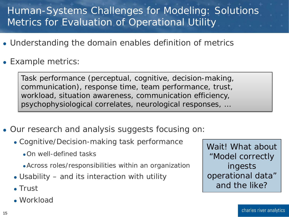## Human-Systems Challenges for Modeling: Solutions Metrics for Evaluation of Operational Utility

- Understanding the domain enables definition of metrics
- Example metrics:

Task performance (perceptual, cognitive, decision-making, communication), response time, team performance, trust, workload, situation awareness, communication efficiency, psychophysiological correlates, neurological responses, …

- Our research and analysis suggests focusing on:
	- Cognitive/Decision-making task performance
		- On well-defined tasks
		- Across roles/responsibilities within an organization
	- Usability and its interaction with utility
	- Trust
	- Workload

Wait! What about "Model correctly ingests operational data" and the like?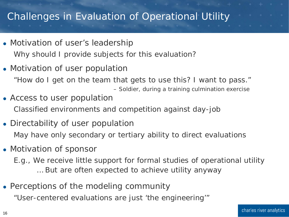#### Challenges in Evaluation of Operational Utility

- Motivation of user's leadership Why should I provide subjects for this evaluation?
- Motivation of user population

"How do I get on the team that gets to use this? I want to pass."

– Soldier, during a training culmination exercise

- Access to user population Classified environments and competition against day-job
- Directability of user population May have only secondary or tertiary ability to direct evaluations
- Motivation of sponsor
	- E.g., We receive little support for formal studies of operational utility … But are often expected to achieve utility anyway
- Perceptions of the modeling community

"User-centered evaluations are just 'the engineering'"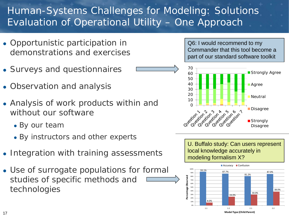## Human-Systems Challenges for Modeling: Solutions Evaluation of Operational Utility – One Approach

- Opportunistic participation in demonstrations and exercises
- Surveys and questionnaires
- Observation and analysis
- Analysis of work products within and without our software
	- By our team
	- By instructors and other experts
- Integration with training assessments
- Use of surrogate populations for formal studies of specific methods and technologies

Q6: I would recommend to my Commander that this tool become a part of our standard software toolkit



U. Buffalo study: Can users represent local knowledge accurately in modeling formalism X? 

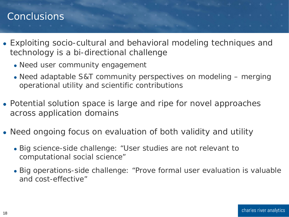## Conclusions and the conclusions of the conclusions of the conclusions of the conclusions of the conclusions of

- Exploiting socio-cultural and behavioral modeling techniques and technology is a bi-directional challenge
	- Need user community engagement
	- Need adaptable S&T community perspectives on modeling merging operational utility and scientific contributions
- Potential solution space is large and ripe for novel approaches across application domains
- Need ongoing focus on evaluation of both validity and utility
	- Big science-side challenge: "User studies are not relevant to computational social science"
	- Big operations-side challenge: "Prove formal user evaluation is valuable and cost-effective"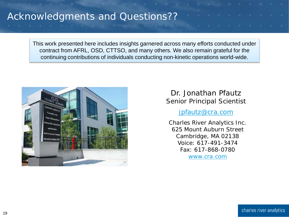#### Acknowledgments and Questions??

This work presented here includes insights garnered across many efforts conducted under contract from AFRL, OSD, CTTSO, and many others. We also remain grateful for the continuing contributions of individuals conducting non-kinetic operations world-wide.



#### Dr. Jonathan Pfautz Senior Principal Scientist

jpfautz@cra.com

Charles River Analytics Inc. 625 Mount Auburn Street Cambridge, MA 02138 Voice: 617-491-3474 Fax: 617-868-0780 [www.cra.com](http://www.cra.com/)